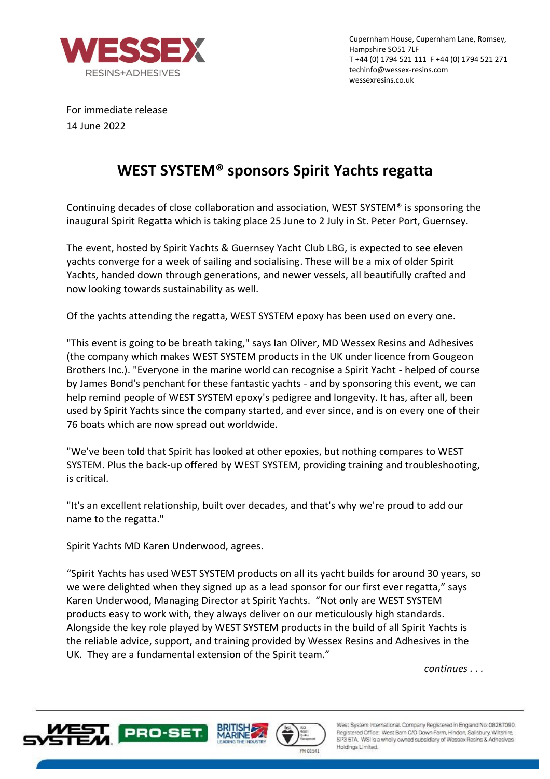

Cupernham House, Cupernham Lane, Romsey, Hampshire SO51 7LF T +44 (0) 1794 521 111 F +44 (0) 1794 521 271 techinfo@wessex-resins.com wessexresins.co.uk

For immediate release 14 June 2022

## **WEST SYSTEM® sponsors Spirit Yachts regatta**

Continuing decades of close collaboration and association, WEST SYSTEM® is sponsoring the inaugural Spirit Regatta which is taking place 25 June to 2 July in St. Peter Port, Guernsey.

The event, hosted by Spirit Yachts & Guernsey Yacht Club LBG, is expected to see eleven yachts converge for a week of sailing and socialising. These will be a mix of older Spirit Yachts, handed down through generations, and newer vessels, all beautifully crafted and now looking towards sustainability as well.

Of the yachts attending the regatta, WEST SYSTEM epoxy has been used on every one.

"This event is going to be breath taking," says Ian Oliver, MD Wessex Resins and Adhesives (the company which makes WEST SYSTEM products in the UK under licence from Gougeon Brothers Inc.). "Everyone in the marine world can recognise a Spirit Yacht - helped of course by James Bond's penchant for these fantastic yachts - and by sponsoring this event, we can help remind people of WEST SYSTEM epoxy's pedigree and longevity. It has, after all, been used by Spirit Yachts since the company started, and ever since, and is on every one of their 76 boats which are now spread out worldwide.

"We've been told that Spirit has looked at other epoxies, but nothing compares to WEST SYSTEM. Plus the back-up offered by WEST SYSTEM, providing training and troubleshooting, is critical.

"It's an excellent relationship, built over decades, and that's why we're proud to add our name to the regatta."

Spirit Yachts MD Karen Underwood, agrees.

"Spirit Yachts has used WEST SYSTEM products on all its yacht builds for around 30 years, so we were delighted when they signed up as a lead sponsor for our first ever regatta," says Karen Underwood, Managing Director at Spirit Yachts. "Not only are WEST SYSTEM products easy to work with, they always deliver on our meticulously high standards. Alongside the key role played by WEST SYSTEM products in the build of all Spirit Yachts is the reliable advice, support, and training provided by Wessex Resins and Adhesives in the UK. They are a fundamental extension of the Spirit team."

*continues . . .* 







West System International, Company Registered in England No: 08287090. Registered Office: West Barn C/O Down Farm, Hindon, Salisbury, Wiltshire, SP3 5TA. WSI is a wholly owned subsidiary of Wessex Resins & Adhesives Holdings Limited.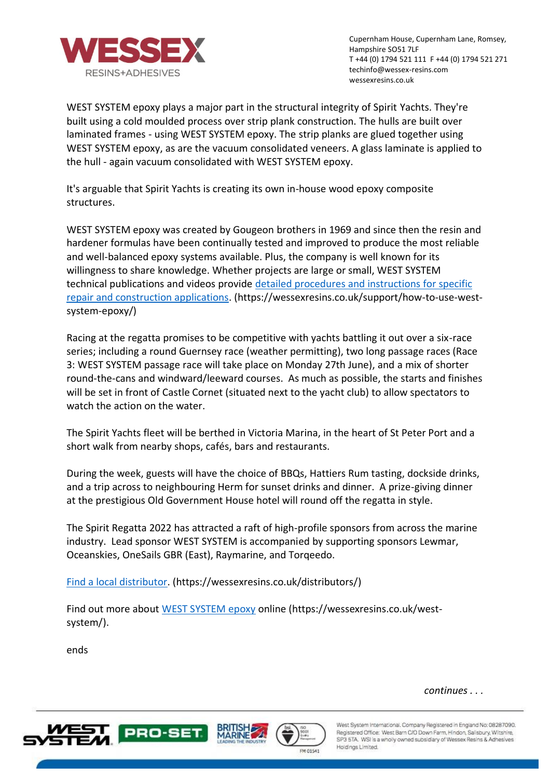

Cupernham House, Cupernham Lane, Romsey, Hampshire SO51 7LF T +44 (0) 1794 521 111 F +44 (0) 1794 521 271 techinfo@wessex-resins.com wessexresins.co.uk

WEST SYSTEM epoxy plays a major part in the structural integrity of Spirit Yachts. They're built using a cold moulded process over strip plank construction. The hulls are built over laminated frames - using WEST SYSTEM epoxy. The strip planks are glued together using WEST SYSTEM epoxy, as are the vacuum consolidated veneers. A glass laminate is applied to the hull - again vacuum consolidated with WEST SYSTEM epoxy.

It's arguable that Spirit Yachts is creating its own in-house wood epoxy composite structures.

WEST SYSTEM epoxy was created by Gougeon brothers in 1969 and since then the resin and hardener formulas have been continually tested and improved to produce the most reliable and well-balanced epoxy systems available. Plus, the company is well known for its willingness to share knowledge. Whether projects are large or small, WEST SYSTEM technical publications and videos provide [detailed procedures and instructions for specific](https://wessexresins.co.uk/support/how-to-use-west-system-epoxy/)  [repair and construction applications.](https://wessexresins.co.uk/support/how-to-use-west-system-epoxy/) (https://wessexresins.co.uk/support/how-to-use-westsystem-epoxy/)

Racing at the regatta promises to be competitive with yachts battling it out over a six-race series; including a round Guernsey race (weather permitting), two long passage races (Race 3: WEST SYSTEM passage race will take place on Monday 27th June), and a mix of shorter round-the-cans and windward/leeward courses. As much as possible, the starts and finishes will be set in front of Castle Cornet (situated next to the yacht club) to allow spectators to watch the action on the water.

The Spirit Yachts fleet will be berthed in Victoria Marina, in the heart of St Peter Port and a short walk from nearby shops, cafés, bars and restaurants.

During the week, guests will have the choice of BBQs, Hattiers Rum tasting, dockside drinks, and a trip across to neighbouring Herm for sunset drinks and dinner. A prize-giving dinner at the prestigious Old Government House hotel will round off the regatta in style.

The Spirit Regatta 2022 has attracted a raft of high-profile sponsors from across the marine industry. Lead sponsor WEST SYSTEM is accompanied by supporting sponsors Lewmar, Oceanskies, OneSails GBR (East), Raymarine, and Torqeedo.

[Find a local distributor.](https://wessexresins.co.uk/distributors/) (https://wessexresins.co.uk/distributors/)

Find out more about [WEST SYSTEM epoxy](https://wessexresins.co.uk/west-system/) online (https://wessexresins.co.uk/westsystem/).

ends

*continues . . .* 







West System International, Company Registered in England No: 08287090. Registered Office: West Barn C/O Down Farm, Hindon, Salisbury, Wiltshire, SP3 5TA. WSI is a wholly owned subsidiary of Wessex Resins & Adhesives Holdings Limited.